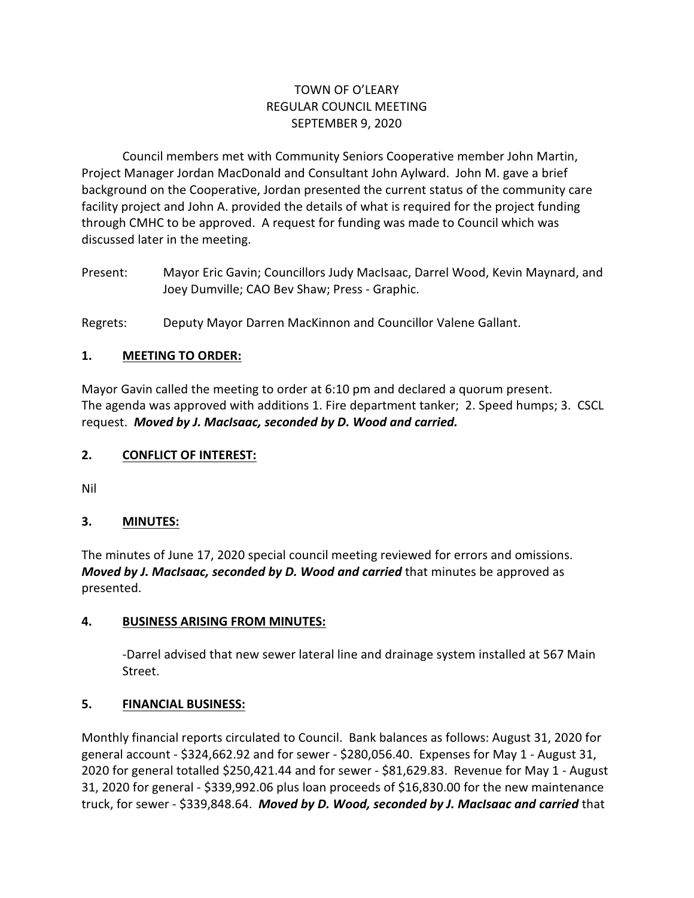## TOWN OF O'LEARY REGULAR COUNCIL MEETING SEPTEMBER 9, 2020

Council members met with Community Seniors Cooperative member John Martin, Project Manager Jordan MacDonald and Consultant John Aylward. John M. gave a brief background on the Cooperative, Jordan presented the current status of the community care facility project and John A. provided the details of what is required for the project funding through CMHC to be approved. A request for funding was made to Council which was discussed later in the meeting.

Present: Mayor Eric Gavin; Councillors Judy MacIsaac, Darrel Wood, Kevin Maynard, and Joey Dumville; CAO Bev Shaw; Press - Graphic.

Regrets: Deputy Mayor Darren MacKinnon and Councillor Valene Gallant.

## **1. MEETING TO ORDER:**

Mayor Gavin called the meeting to order at 6:10 pm and declared a quorum present. The agenda was approved with additions 1. Fire department tanker; 2. Speed humps; 3. CSCL request. *Moved by J. MacIsaac, seconded by D. Wood and carried.*

### **2. CONFLICT OF INTEREST:**

Nil

### **3. MINUTES:**

The minutes of June 17, 2020 special council meeting reviewed for errors and omissions. *Moved by J. MacIsaac, seconded by D. Wood and carried* that minutes be approved as presented.

### **4. BUSINESS ARISING FROM MINUTES:**

-Darrel advised that new sewer lateral line and drainage system installed at 567 Main Street.

### **5. FINANCIAL BUSINESS:**

Monthly financial reports circulated to Council. Bank balances as follows: August 31, 2020 for general account - \$324,662.92 and for sewer - \$280,056.40. Expenses for May 1 - August 31, 2020 for general totalled \$250,421.44 and for sewer - \$81,629.83. Revenue for May 1 - August 31, 2020 for general - \$339,992.06 plus loan proceeds of \$16,830.00 for the new maintenance truck, for sewer - \$339,848.64. *Moved by D. Wood, seconded by J. MacIsaac and carried* that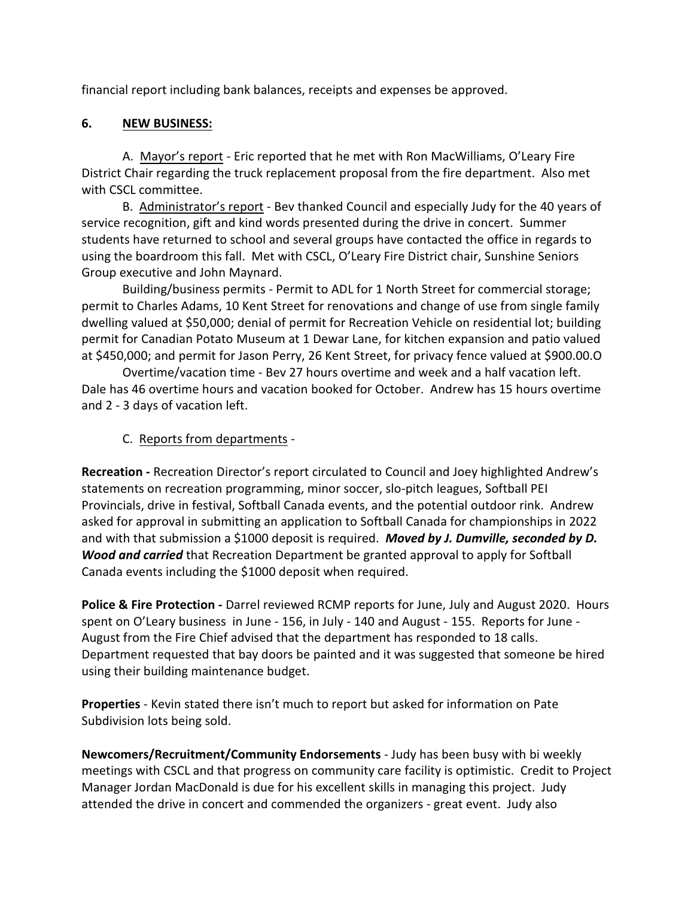financial report including bank balances, receipts and expenses be approved.

## **6. NEW BUSINESS:**

A. Mayor's report - Eric reported that he met with Ron MacWilliams, O'Leary Fire District Chair regarding the truck replacement proposal from the fire department. Also met with CSCL committee.

B. Administrator's report - Bev thanked Council and especially Judy for the 40 years of service recognition, gift and kind words presented during the drive in concert. Summer students have returned to school and several groups have contacted the office in regards to using the boardroom this fall. Met with CSCL, O'Leary Fire District chair, Sunshine Seniors Group executive and John Maynard.

Building/business permits - Permit to ADL for 1 North Street for commercial storage; permit to Charles Adams, 10 Kent Street for renovations and change of use from single family dwelling valued at \$50,000; denial of permit for Recreation Vehicle on residential lot; building permit for Canadian Potato Museum at 1 Dewar Lane, for kitchen expansion and patio valued at \$450,000; and permit for Jason Perry, 26 Kent Street, for privacy fence valued at \$900.00.O

Overtime/vacation time - Bev 27 hours overtime and week and a half vacation left. Dale has 46 overtime hours and vacation booked for October. Andrew has 15 hours overtime and 2 - 3 days of vacation left.

## C. Reports from departments -

**Recreation -** Recreation Director's report circulated to Council and Joey highlighted Andrew's statements on recreation programming, minor soccer, slo-pitch leagues, Softball PEI Provincials, drive in festival, Softball Canada events, and the potential outdoor rink. Andrew asked for approval in submitting an application to Softball Canada for championships in 2022 and with that submission a \$1000 deposit is required. *Moved by J. Dumville, seconded by D. Wood and carried* that Recreation Department be granted approval to apply for Softball Canada events including the \$1000 deposit when required.

**Police & Fire Protection -** Darrel reviewed RCMP reports for June, July and August 2020. Hours spent on O'Leary business in June - 156, in July - 140 and August - 155. Reports for June - August from the Fire Chief advised that the department has responded to 18 calls. Department requested that bay doors be painted and it was suggested that someone be hired using their building maintenance budget.

**Properties** - Kevin stated there isn't much to report but asked for information on Pate Subdivision lots being sold.

**Newcomers/Recruitment/Community Endorsements** - Judy has been busy with bi weekly meetings with CSCL and that progress on community care facility is optimistic. Credit to Project Manager Jordan MacDonald is due for his excellent skills in managing this project. Judy attended the drive in concert and commended the organizers - great event. Judy also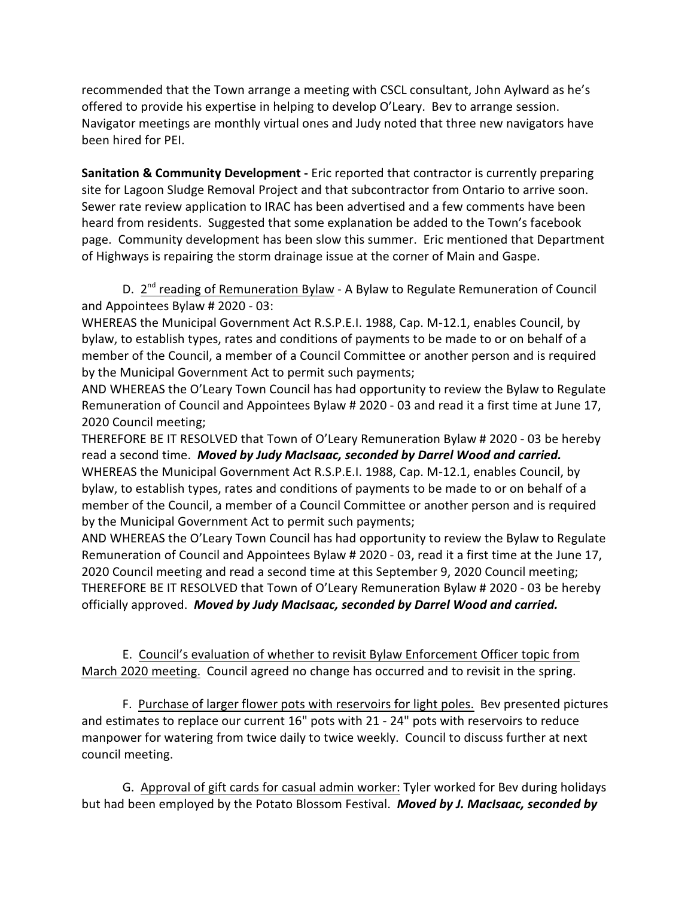recommended that the Town arrange a meeting with CSCL consultant, John Aylward as he's offered to provide his expertise in helping to develop O'Leary. Bev to arrange session. Navigator meetings are monthly virtual ones and Judy noted that three new navigators have been hired for PEI.

**Sanitation & Community Development -** Eric reported that contractor is currently preparing site for Lagoon Sludge Removal Project and that subcontractor from Ontario to arrive soon. Sewer rate review application to IRAC has been advertised and a few comments have been heard from residents. Suggested that some explanation be added to the Town's facebook page. Community development has been slow this summer. Eric mentioned that Department of Highways is repairing the storm drainage issue at the corner of Main and Gaspe.

D. 2<sup>nd</sup> reading of Remuneration Bylaw - A Bylaw to Regulate Remuneration of Council and Appointees Bylaw # 2020 - 03:

WHEREAS the Municipal Government Act R.S.P.E.I. 1988, Cap. M-12.1, enables Council, by bylaw, to establish types, rates and conditions of payments to be made to or on behalf of a member of the Council, a member of a Council Committee or another person and is required by the Municipal Government Act to permit such payments;

AND WHEREAS the O'Leary Town Council has had opportunity to review the Bylaw to Regulate Remuneration of Council and Appointees Bylaw # 2020 - 03 and read it a first time at June 17, 2020 Council meeting;

THEREFORE BE IT RESOLVED that Town of O'Leary Remuneration Bylaw # 2020 - 03 be hereby read a second time. *Moved by Judy MacIsaac, seconded by Darrel Wood and carried.* WHEREAS the Municipal Government Act R.S.P.E.I. 1988, Cap. M-12.1, enables Council, by bylaw, to establish types, rates and conditions of payments to be made to or on behalf of a member of the Council, a member of a Council Committee or another person and is required by the Municipal Government Act to permit such payments;

AND WHEREAS the O'Leary Town Council has had opportunity to review the Bylaw to Regulate Remuneration of Council and Appointees Bylaw # 2020 - 03, read it a first time at the June 17, 2020 Council meeting and read a second time at this September 9, 2020 Council meeting; THEREFORE BE IT RESOLVED that Town of O'Leary Remuneration Bylaw # 2020 - 03 be hereby officially approved. *Moved by Judy MacIsaac, seconded by Darrel Wood and carried.*

E. Council's evaluation of whether to revisit Bylaw Enforcement Officer topic from March 2020 meeting. Council agreed no change has occurred and to revisit in the spring.

F. Purchase of larger flower pots with reservoirs for light poles. Bev presented pictures and estimates to replace our current 16" pots with 21 - 24" pots with reservoirs to reduce manpower for watering from twice daily to twice weekly. Council to discuss further at next council meeting.

G. Approval of gift cards for casual admin worker: Tyler worked for Bev during holidays but had been employed by the Potato Blossom Festival. *Moved by J. MacIsaac, seconded by*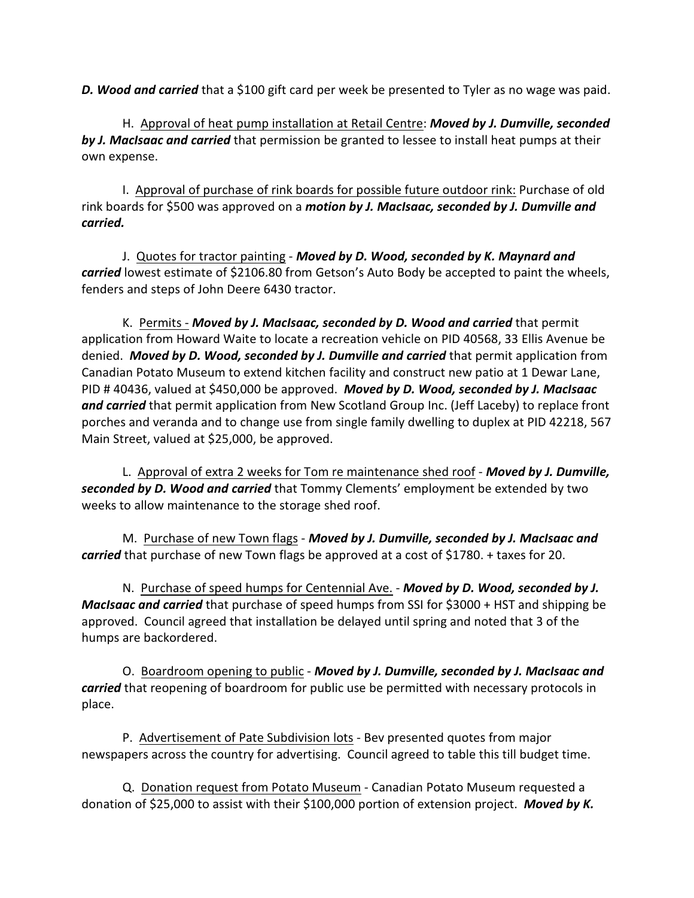*D. Wood and carried* that a \$100 gift card per week be presented to Tyler as no wage was paid.

H. Approval of heat pump installation at Retail Centre: *Moved by J. Dumville, seconded by J. MacIsaac and carried* that permission be granted to lessee to install heat pumps at their own expense.

I. Approval of purchase of rink boards for possible future outdoor rink: Purchase of old rink boards for \$500 was approved on a *motion by J. MacIsaac, seconded by J. Dumville and carried.*

J. Quotes for tractor painting - *Moved by D. Wood, seconded by K. Maynard and carried* lowest estimate of \$2106.80 from Getson's Auto Body be accepted to paint the wheels, fenders and steps of John Deere 6430 tractor.

K. Permits - *Moved by J. MacIsaac, seconded by D. Wood and carried* that permit application from Howard Waite to locate a recreation vehicle on PID 40568, 33 Ellis Avenue be denied. *Moved by D. Wood, seconded by J. Dumville and carried* that permit application from Canadian Potato Museum to extend kitchen facility and construct new patio at 1 Dewar Lane, PID # 40436, valued at \$450,000 be approved. *Moved by D. Wood, seconded by J. MacIsaac* and carried that permit application from New Scotland Group Inc. (Jeff Laceby) to replace front porches and veranda and to change use from single family dwelling to duplex at PID 42218, 567 Main Street, valued at \$25,000, be approved.

L. Approval of extra 2 weeks for Tom re maintenance shed roof - *Moved by J. Dumville, seconded by D. Wood and carried* that Tommy Clements' employment be extended by two weeks to allow maintenance to the storage shed roof.

M. Purchase of new Town flags - *Moved by J. Dumville, seconded by J. MacIsaac and carried* that purchase of new Town flags be approved at a cost of \$1780. + taxes for 20.

N. Purchase of speed humps for Centennial Ave. - *Moved by D. Wood, seconded by J. MacIsaac and carried* that purchase of speed humps from SSI for \$3000 + HST and shipping be approved. Council agreed that installation be delayed until spring and noted that 3 of the humps are backordered.

O. Boardroom opening to public - *Moved by J. Dumville, seconded by J. MacIsaac and carried* that reopening of boardroom for public use be permitted with necessary protocols in place.

P. Advertisement of Pate Subdivision lots - Bev presented quotes from major newspapers across the country for advertising. Council agreed to table this till budget time.

Q. Donation request from Potato Museum - Canadian Potato Museum requested a donation of \$25,000 to assist with their \$100,000 portion of extension project. *Moved by K.*